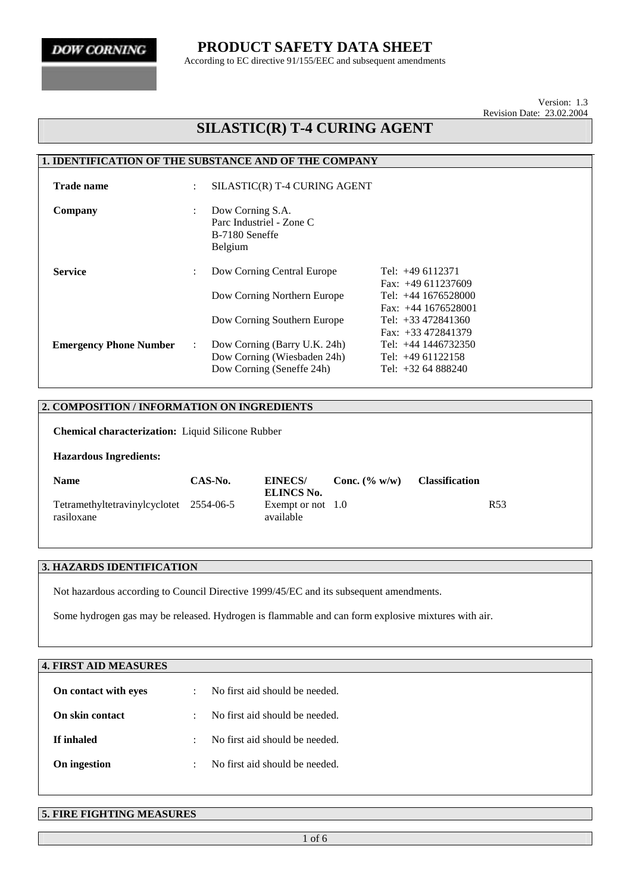### **PRODUCT SAFETY DATA SHEET**

According to EC directive 91/155/EEC and subsequent amendments

Version: 1.3 Revision Date: 23.02.2004

## **SILASTIC(R) T-4 CURING AGENT**

#### **1. IDENTIFICATION OF THE SUBSTANCE AND OF THE COMPANY**

| <b>Trade name</b>             | ÷                         |                                                                                          | SILASTIC(R) T-4 CURING AGENT                                                                |  |  |  |  |
|-------------------------------|---------------------------|------------------------------------------------------------------------------------------|---------------------------------------------------------------------------------------------|--|--|--|--|
| Company                       | $\ddot{\phantom{a}}$      | Dow Corning S.A.<br>Parc Industriel - Zone C<br>B-7180 Seneffe<br><b>Belgium</b>         |                                                                                             |  |  |  |  |
| <b>Service</b>                | ÷                         | Dow Corning Central Europe<br>Dow Corning Northern Europe                                | Tel: $+49$ 6112371<br>Fax: $+49611237609$<br>Tel: $+44$ 1676528000<br>Fax: $+44$ 1676528001 |  |  |  |  |
|                               |                           | Dow Corning Southern Europe                                                              | Tel: $+33\,472841360$<br>Fax: $+33\,472841379$                                              |  |  |  |  |
| <b>Emergency Phone Number</b> | $\mathbb{R}^{\mathbb{Z}}$ | Dow Corning (Barry U.K. 24h)<br>Dow Corning (Wiesbaden 24h)<br>Dow Corning (Seneffe 24h) | Tel: $+44$ 1446732350<br>Tel: $+4961122158$<br>Tel: $+3264888240$                           |  |  |  |  |

#### **2. COMPOSITION / INFORMATION ON INGREDIENTS**

**Chemical characterization:** Liquid Silicone Rubber

#### **Hazardous Ingredients:**

| <b>Name</b>                                           | CAS-No. | <b>EINECS/</b><br>ELINCS No.     | <b>Conc.</b> $(\% w/w)$ | <b>Classification</b> |
|-------------------------------------------------------|---------|----------------------------------|-------------------------|-----------------------|
| Tetramethyltetravinylcyclotet 2554-06-5<br>rasiloxane |         | Exempt or not $1.0$<br>available |                         | R <sub>53</sub>       |

#### **3. HAZARDS IDENTIFICATION**

Not hazardous according to Council Directive 1999/45/EC and its subsequent amendments.

Some hydrogen gas may be released. Hydrogen is flammable and can form explosive mixtures with air.

| <b>4. FIRST AID MEASURES</b> |           |                                |
|------------------------------|-----------|--------------------------------|
| On contact with eyes         | ÷         | No first aid should be needed. |
| On skin contact              | $\cdot$   | No first aid should be needed. |
| If inhaled                   | $\bullet$ | No first aid should be needed. |
| On ingestion                 |           | No first aid should be needed. |
|                              |           |                                |

#### **5. FIRE FIGHTING MEASURES**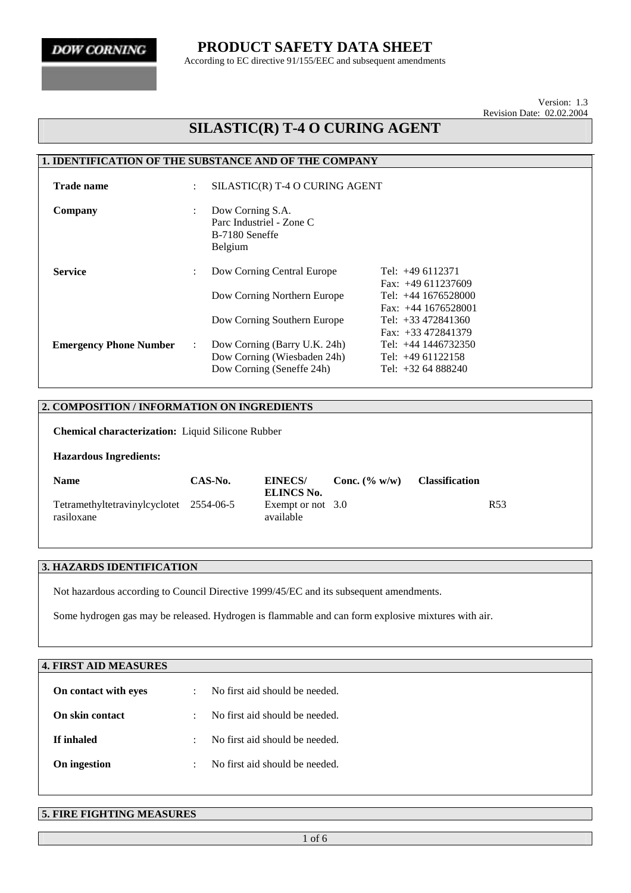### **PRODUCT SAFETY DATA SHEET**

According to EC directive 91/155/EEC and subsequent amendments

Version: 1.3 Revision Date: 02.02.2004

## **SILASTIC(R) T-4 O CURING AGENT**

#### **1. IDENTIFICATION OF THE SUBSTANCE AND OF THE COMPANY**

| <b>Trade name</b>             | ÷                         | SILASTIC(R) T-4 O CURING AGENT                                                           |                                                                                            |  |  |
|-------------------------------|---------------------------|------------------------------------------------------------------------------------------|--------------------------------------------------------------------------------------------|--|--|
| Company                       | ÷                         | Dow Corning S.A.<br>Parc Industriel - Zone C<br>B-7180 Seneffe<br>Belgium                |                                                                                            |  |  |
| <b>Service</b>                | ÷                         | Dow Corning Central Europe<br>Dow Corning Northern Europe                                | Tel: $+496112371$<br>Fax: $+49611237609$<br>Tel: $+44$ 1676528000<br>Fax: $+44$ 1676528001 |  |  |
|                               |                           | Dow Corning Southern Europe                                                              | Tel: $+33\,472841360$<br>Fax: $+33\,472841379$                                             |  |  |
| <b>Emergency Phone Number</b> | $\mathbb{R}^{\mathbb{Z}}$ | Dow Corning (Barry U.K. 24h)<br>Dow Corning (Wiesbaden 24h)<br>Dow Corning (Seneffe 24h) | Tel: +44 1446732350<br>Tel: $+4961122158$<br>Tel: +32 64 888240                            |  |  |

#### **2. COMPOSITION / INFORMATION ON INGREDIENTS**

**Chemical characterization:** Liquid Silicone Rubber

#### **Hazardous Ingredients:**

| <b>Name</b>                                           | CAS-No. | <b>EINECS/</b><br>ELINCS No.   | Conc. $(\% w/w)$ | <b>Classification</b> |
|-------------------------------------------------------|---------|--------------------------------|------------------|-----------------------|
| Tetramethyltetravinylcyclotet 2554-06-5<br>rasiloxane |         | Exempt or not 3.0<br>available |                  | R <sub>53</sub>       |

#### **3. HAZARDS IDENTIFICATION**

Not hazardous according to Council Directive 1999/45/EC and its subsequent amendments.

Some hydrogen gas may be released. Hydrogen is flammable and can form explosive mixtures with air.

| <b>4. FIRST AID MEASURES</b> |           |                                |
|------------------------------|-----------|--------------------------------|
| On contact with eyes         | ÷         | No first aid should be needed. |
| On skin contact              | ÷         | No first aid should be needed. |
| If inhaled                   | $\cdot$   | No first aid should be needed. |
| On ingestion                 | $\bullet$ | No first aid should be needed. |
|                              |           |                                |

#### **5. FIRE FIGHTING MEASURES**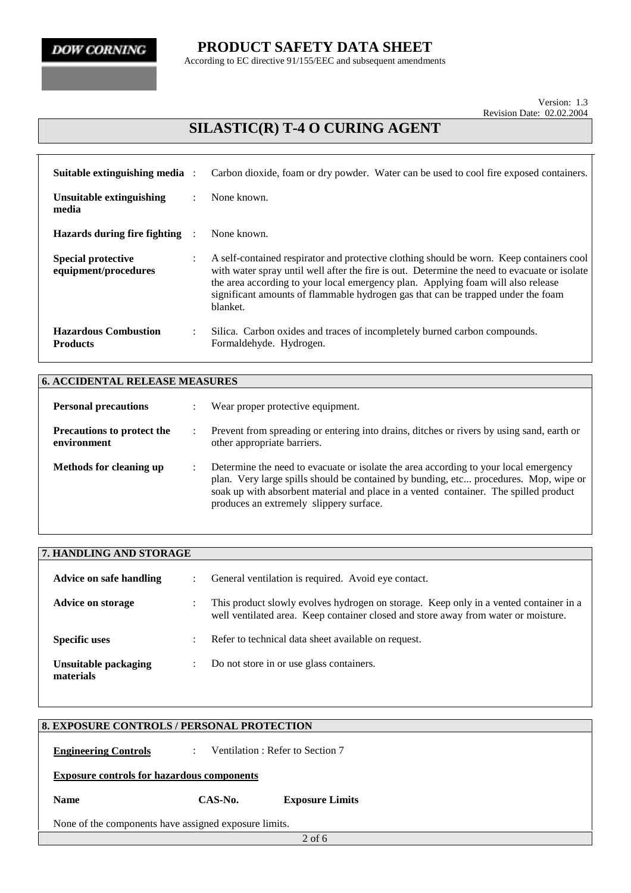**PRODUCT SAFETY DATA SHEET**

According to EC directive 91/155/EEC and subsequent amendments

Version: 1.3 Revision Date: 02.02.2004

# **SILASTIC(R) T-4 O CURING AGENT**

| Suitable extinguishing media :                    |                      | Carbon dioxide, foam or dry powder. Water can be used to cool fire exposed containers.                                                                                                                                                                                                                                                                                       |
|---------------------------------------------------|----------------------|------------------------------------------------------------------------------------------------------------------------------------------------------------------------------------------------------------------------------------------------------------------------------------------------------------------------------------------------------------------------------|
| <b>Unsuitable extinguishing</b><br>media          | ٠                    | None known.                                                                                                                                                                                                                                                                                                                                                                  |
| Hazards during fire fighting                      |                      | None known.                                                                                                                                                                                                                                                                                                                                                                  |
| <b>Special protective</b><br>equipment/procedures | $\ddot{\phantom{a}}$ | A self-contained respirator and protective clothing should be worn. Keep containers cool<br>with water spray until well after the fire is out. Determine the need to evacuate or isolate<br>the area according to your local emergency plan. Applying foam will also release<br>significant amounts of flammable hydrogen gas that can be trapped under the foam<br>blanket. |
| <b>Hazardous Combustion</b><br><b>Products</b>    | ٠                    | Silica. Carbon oxides and traces of incompletely burned carbon compounds.<br>Formaldehyde. Hydrogen.                                                                                                                                                                                                                                                                         |

| <b>6. ACCIDENTAL RELEASE MEASURES</b>            |                      |                                                                                                                                                                                                                                                                                                                 |  |
|--------------------------------------------------|----------------------|-----------------------------------------------------------------------------------------------------------------------------------------------------------------------------------------------------------------------------------------------------------------------------------------------------------------|--|
| <b>Personal precautions</b>                      |                      | Wear proper protective equipment.                                                                                                                                                                                                                                                                               |  |
| <b>Precautions to protect the</b><br>environment | $\ddot{\phantom{0}}$ | Prevent from spreading or entering into drains, ditches or rivers by using sand, earth or<br>other appropriate barriers.                                                                                                                                                                                        |  |
| Methods for cleaning up                          |                      | Determine the need to evacuate or isolate the area according to your local emergency<br>plan. Very large spills should be contained by bunding, etc procedures. Mop, wipe or<br>soak up with absorbent material and place in a vented container. The spilled product<br>produces an extremely slippery surface. |  |

| 7. HANDLING AND STORAGE           |                      |                                                                                                                                                                             |  |  |
|-----------------------------------|----------------------|-----------------------------------------------------------------------------------------------------------------------------------------------------------------------------|--|--|
| Advice on safe handling           | $\ddot{\phantom{0}}$ | General ventilation is required. Avoid eye contact.                                                                                                                         |  |  |
| <b>Advice on storage</b>          |                      | This product slowly evolves hydrogen on storage. Keep only in a vented container in a<br>well ventilated area. Keep container closed and store away from water or moisture. |  |  |
| <b>Specific uses</b>              | $\bullet$            | Refer to technical data sheet available on request.                                                                                                                         |  |  |
| Unsuitable packaging<br>materials | ٠                    | Do not store in or use glass containers.                                                                                                                                    |  |  |

| <b>8. EXPOSURE CONTROLS / PERSONAL PROTECTION</b>     |  |  |  |  |  |  |
|-------------------------------------------------------|--|--|--|--|--|--|
|                                                       |  |  |  |  |  |  |
|                                                       |  |  |  |  |  |  |
|                                                       |  |  |  |  |  |  |
|                                                       |  |  |  |  |  |  |
|                                                       |  |  |  |  |  |  |
|                                                       |  |  |  |  |  |  |
|                                                       |  |  |  |  |  |  |
|                                                       |  |  |  |  |  |  |
|                                                       |  |  |  |  |  |  |
| None of the components have assigned exposure limits. |  |  |  |  |  |  |
|                                                       |  |  |  |  |  |  |
|                                                       |  |  |  |  |  |  |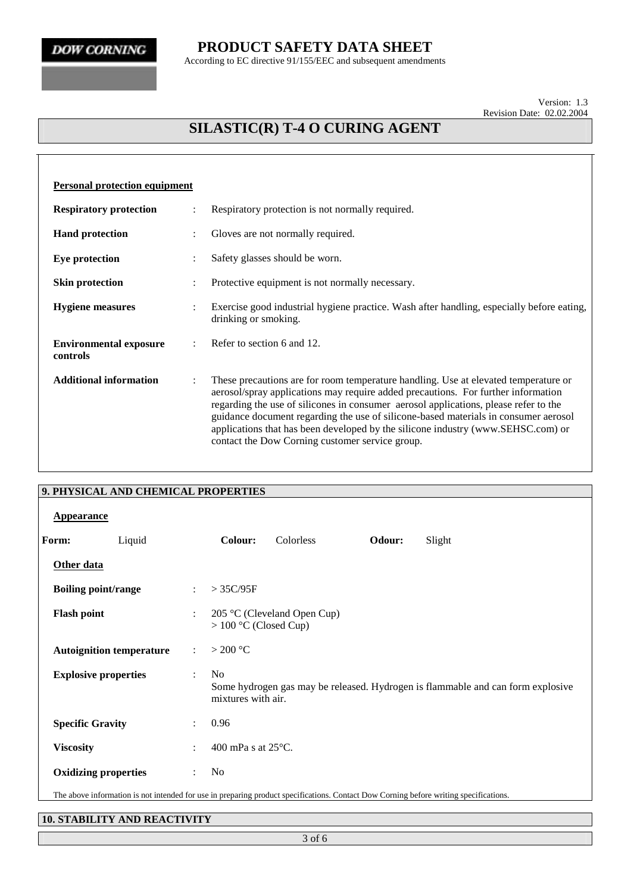### **PRODUCT SAFETY DATA SHEET**

According to EC directive 91/155/EEC and subsequent amendments

Version: 1.3 Revision Date: 02.02.2004

# **SILASTIC(R) T-4 O CURING AGENT**

| <b>Personal protection equipment</b>      |                |                                                                                                                                                                                                                                                                                                                                                                                                                                                                                                |  |  |  |  |
|-------------------------------------------|----------------|------------------------------------------------------------------------------------------------------------------------------------------------------------------------------------------------------------------------------------------------------------------------------------------------------------------------------------------------------------------------------------------------------------------------------------------------------------------------------------------------|--|--|--|--|
| <b>Respiratory protection</b>             |                | Respiratory protection is not normally required.                                                                                                                                                                                                                                                                                                                                                                                                                                               |  |  |  |  |
| <b>Hand protection</b>                    |                | Gloves are not normally required.                                                                                                                                                                                                                                                                                                                                                                                                                                                              |  |  |  |  |
| <b>Eye protection</b>                     |                | Safety glasses should be worn.                                                                                                                                                                                                                                                                                                                                                                                                                                                                 |  |  |  |  |
| <b>Skin protection</b>                    |                | Protective equipment is not normally necessary.                                                                                                                                                                                                                                                                                                                                                                                                                                                |  |  |  |  |
| <b>Hygiene</b> measures                   | $\ddot{\cdot}$ | Exercise good industrial hygiene practice. Wash after handling, especially before eating,<br>drinking or smoking.                                                                                                                                                                                                                                                                                                                                                                              |  |  |  |  |
| <b>Environmental exposure</b><br>controls |                | Refer to section 6 and 12.                                                                                                                                                                                                                                                                                                                                                                                                                                                                     |  |  |  |  |
| <b>Additional information</b>             | $\ddot{\cdot}$ | These precautions are for room temperature handling. Use at elevated temperature or<br>aerosol/spray applications may require added precautions. For further information<br>regarding the use of silicones in consumer aerosol applications, please refer to the<br>guidance document regarding the use of silicone-based materials in consumer aerosol<br>applications that has been developed by the silicone industry (www.SEHSC.com) or<br>contact the Dow Corning customer service group. |  |  |  |  |

|                    | 9. PHYSICAL AND CHEMICAL PROPERTIES |                           |                                      |                             |        |                                                                                                                                       |
|--------------------|-------------------------------------|---------------------------|--------------------------------------|-----------------------------|--------|---------------------------------------------------------------------------------------------------------------------------------------|
| <b>Appearance</b>  |                                     |                           |                                      |                             |        |                                                                                                                                       |
| Form:              | Liquid                              |                           | Colour:                              | Colorless                   | Odour: | Slight                                                                                                                                |
| Other data         |                                     |                           |                                      |                             |        |                                                                                                                                       |
|                    | <b>Boiling point/range</b>          | $\ddot{\cdot}$            | $>$ 35C/95F                          |                             |        |                                                                                                                                       |
| <b>Flash point</b> |                                     | $\ddot{\cdot}$            | $> 100$ °C (Closed Cup)              | 205 °C (Cleveland Open Cup) |        |                                                                                                                                       |
|                    | <b>Autoignition temperature</b>     | $\mathbb{R}^{\mathbb{Z}}$ | $>$ 200 °C                           |                             |        |                                                                                                                                       |
|                    | <b>Explosive properties</b>         | $\ddot{\phantom{0}}$      | N <sub>o</sub><br>mixtures with air. |                             |        | Some hydrogen gas may be released. Hydrogen is flammable and can form explosive                                                       |
|                    | <b>Specific Gravity</b>             | $\ddot{\phantom{0}}$      | 0.96                                 |                             |        |                                                                                                                                       |
| <b>Viscosity</b>   |                                     | $\ddot{\phantom{a}}$      | 400 mPa s at $25^{\circ}$ C.         |                             |        |                                                                                                                                       |
|                    | <b>Oxidizing properties</b>         | $\ddot{\cdot}$            | No                                   |                             |        |                                                                                                                                       |
|                    |                                     |                           |                                      |                             |        | The above information is not intended for use in preparing product specifications. Contact Dow Corning before writing specifications. |

#### **10. STABILITY AND REACTIVITY**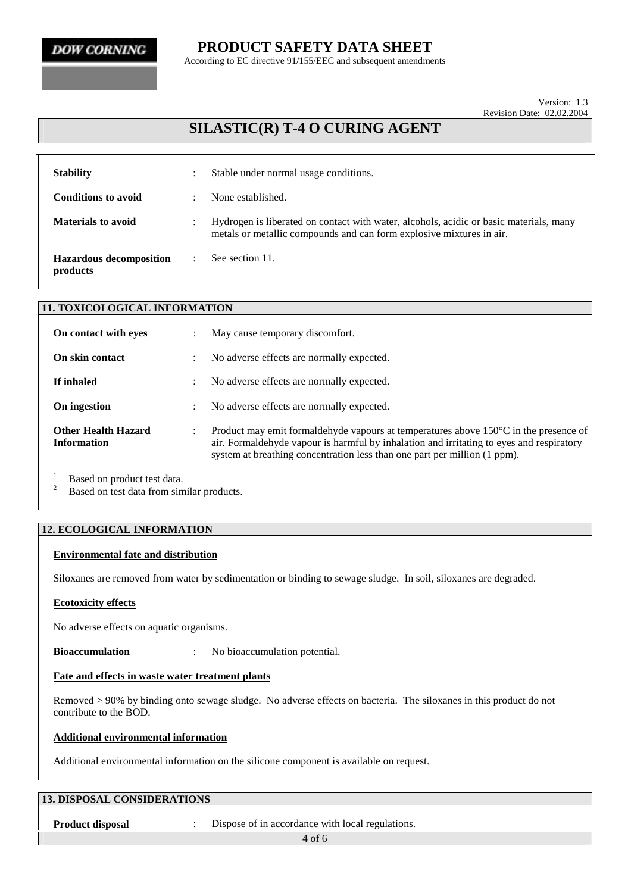### **PRODUCT SAFETY DATA SHEET**

According to EC directive 91/155/EEC and subsequent amendments

Version: 1.3 Revision Date: 02.02.2004

### **SILASTIC(R) T-4 O CURING AGENT**

| <b>Stability</b>                           |           | Stable under normal usage conditions.                                                                                                                          |
|--------------------------------------------|-----------|----------------------------------------------------------------------------------------------------------------------------------------------------------------|
| <b>Conditions to avoid</b>                 | $\bullet$ | None established.                                                                                                                                              |
| Materials to avoid                         | $\bullet$ | Hydrogen is liberated on contact with water, alcohols, acidic or basic materials, many<br>metals or metallic compounds and can form explosive mixtures in air. |
| <b>Hazardous decomposition</b><br>products |           | See section 11.                                                                                                                                                |

| <b>11. TOXICOLOGICAL INFORMATION</b>             |                      |                                                                                                                                                                                                                                                                          |  |  |
|--------------------------------------------------|----------------------|--------------------------------------------------------------------------------------------------------------------------------------------------------------------------------------------------------------------------------------------------------------------------|--|--|
| On contact with eyes                             |                      | May cause temporary discomfort.                                                                                                                                                                                                                                          |  |  |
| On skin contact                                  |                      | No adverse effects are normally expected.                                                                                                                                                                                                                                |  |  |
| If inhaled                                       | $\ddot{\phantom{0}}$ | No adverse effects are normally expected.                                                                                                                                                                                                                                |  |  |
| On ingestion                                     |                      | No adverse effects are normally expected.                                                                                                                                                                                                                                |  |  |
| <b>Other Health Hazard</b><br><b>Information</b> |                      | Product may emit formal dehyde vapours at temperatures above $150^{\circ}$ C in the presence of<br>air. Formaldehyde vapour is harmful by inhalation and irritating to eyes and respiratory<br>system at breathing concentration less than one part per million (1 ppm). |  |  |
|                                                  |                      |                                                                                                                                                                                                                                                                          |  |  |

<sup>1</sup> Based on product test data.<br><sup>2</sup> Based on test data from similar products.

#### **12. ECOLOGICAL INFORMATION**

#### **Environmental fate and distribution**

Siloxanes are removed from water by sedimentation or binding to sewage sludge. In soil, siloxanes are degraded.

#### **Ecotoxicity effects**

No adverse effects on aquatic organisms.

**Bioaccumulation** : No bioaccumulation potential.

#### **Fate and effects in waste water treatment plants**

Removed > 90% by binding onto sewage sludge. No adverse effects on bacteria. The siloxanes in this product do not contribute to the BOD.

#### **Additional environmental information**

Additional environmental information on the silicone component is available on request.

| <b>13. DISPOSAL CONSIDERATIONS</b> |                                                  |  |  |
|------------------------------------|--------------------------------------------------|--|--|
| <b>Product disposal</b>            | Dispose of in accordance with local regulations. |  |  |
|                                    | $4$ of 6                                         |  |  |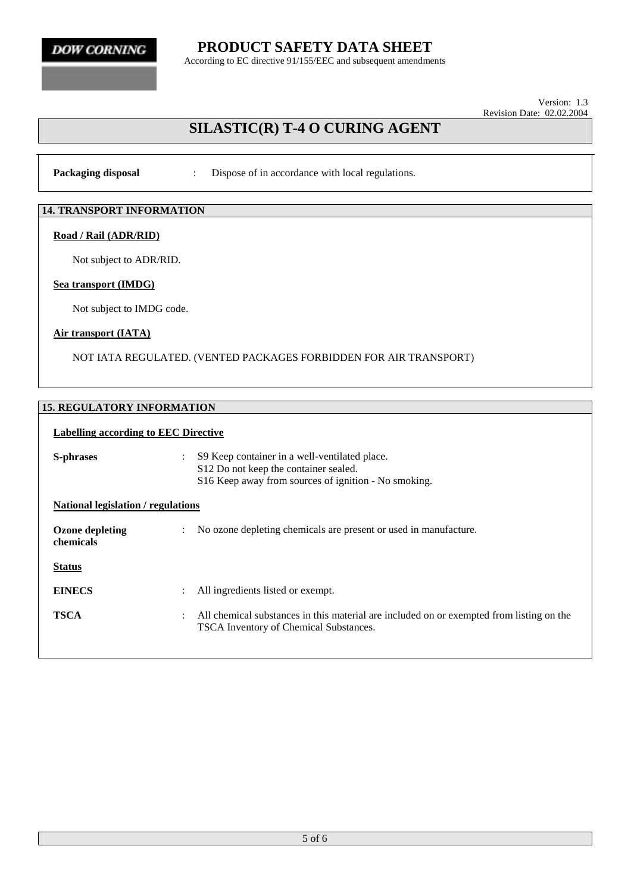**PRODUCT SAFETY DATA SHEET**

According to EC directive 91/155/EEC and subsequent amendments

Version: 1.3 Revision Date: 02.02.2004

## **SILASTIC(R) T-4 O CURING AGENT**

**Packaging disposal :** Dispose of in accordance with local regulations.

#### **14. TRANSPORT INFORMATION**

#### **Road / Rail (ADR/RID)**

Not subject to ADR/RID.

#### **Sea transport (IMDG)**

Not subject to IMDG code.

#### **Air transport (IATA)**

NOT IATA REGULATED. (VENTED PACKAGES FORBIDDEN FOR AIR TRANSPORT)

#### **15. REGULATORY INFORMATION**

#### **Labelling according to EEC Directive**

| S-phrases                           | $\ddot{\phantom{0}}$ | S9 Keep container in a well-ventilated place.<br>S12 Do not keep the container sealed.<br>S16 Keep away from sources of ignition - No smoking. |  |
|-------------------------------------|----------------------|------------------------------------------------------------------------------------------------------------------------------------------------|--|
| National legislation / regulations  |                      |                                                                                                                                                |  |
| <b>Ozone depleting</b><br>chemicals |                      | No ozone depleting chemicals are present or used in manufacture.                                                                               |  |
| <b>Status</b>                       |                      |                                                                                                                                                |  |
| <b>EINECS</b>                       | $\ddot{\phantom{a}}$ | All ingredients listed or exempt.                                                                                                              |  |
| <b>TSCA</b>                         |                      | All chemical substances in this material are included on or exempted from listing on the<br><b>TSCA Inventory of Chemical Substances.</b>      |  |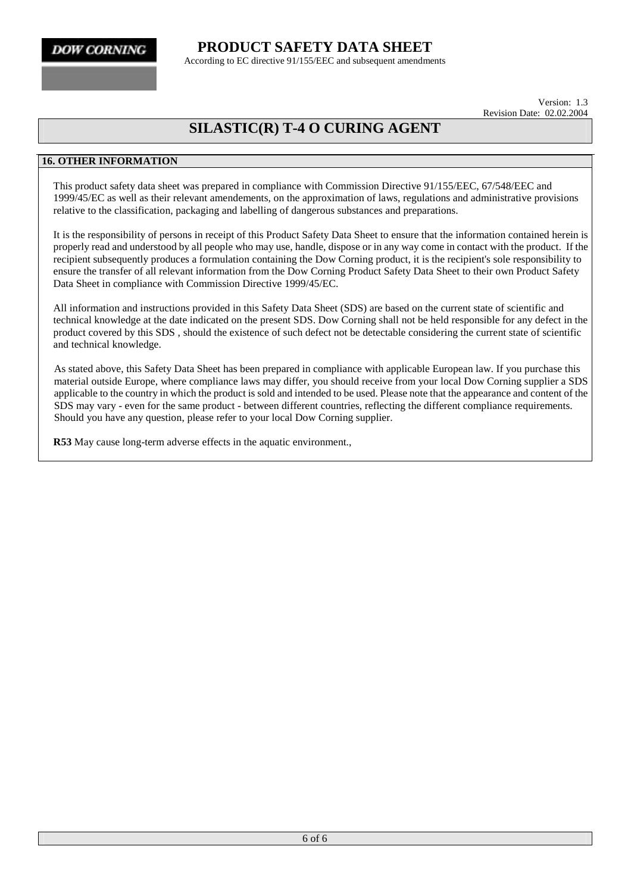**PRODUCT SAFETY DATA SHEET** According to EC directive 91/155/EEC and subsequent amendments

> Version: 1.3 Revision Date: 02.02.2004

## **SILASTIC(R) T-4 O CURING AGENT**

#### **16. OTHER INFORMATION**

This product safety data sheet was prepared in compliance with Commission Directive 91/155/EEC, 67/548/EEC and 1999/45/EC as well as their relevant amendements, on the approximation of laws, regulations and administrative provisions relative to the classification, packaging and labelling of dangerous substances and preparations.

It is the responsibility of persons in receipt of this Product Safety Data Sheet to ensure that the information contained herein is properly read and understood by all people who may use, handle, dispose or in any way come in contact with the product. If the recipient subsequently produces a formulation containing the Dow Corning product, it is the recipient's sole responsibility to ensure the transfer of all relevant information from the Dow Corning Product Safety Data Sheet to their own Product Safety Data Sheet in compliance with Commission Directive 1999/45/EC.

All information and instructions provided in this Safety Data Sheet (SDS) are based on the current state of scientific and technical knowledge at the date indicated on the present SDS. Dow Corning shall not be held responsible for any defect in the product covered by this SDS , should the existence of such defect not be detectable considering the current state of scientific and technical knowledge.

As stated above, this Safety Data Sheet has been prepared in compliance with applicable European law. If you purchase this material outside Europe, where compliance laws may differ, you should receive from your local Dow Corning supplier a SDS applicable to the country in which the product is sold and intended to be used. Please note that the appearance and content of the SDS may vary - even for the same product - between different countries, reflecting the different compliance requirements. Should you have any question, please refer to your local Dow Corning supplier.

**R53** May cause long-term adverse effects in the aquatic environment.,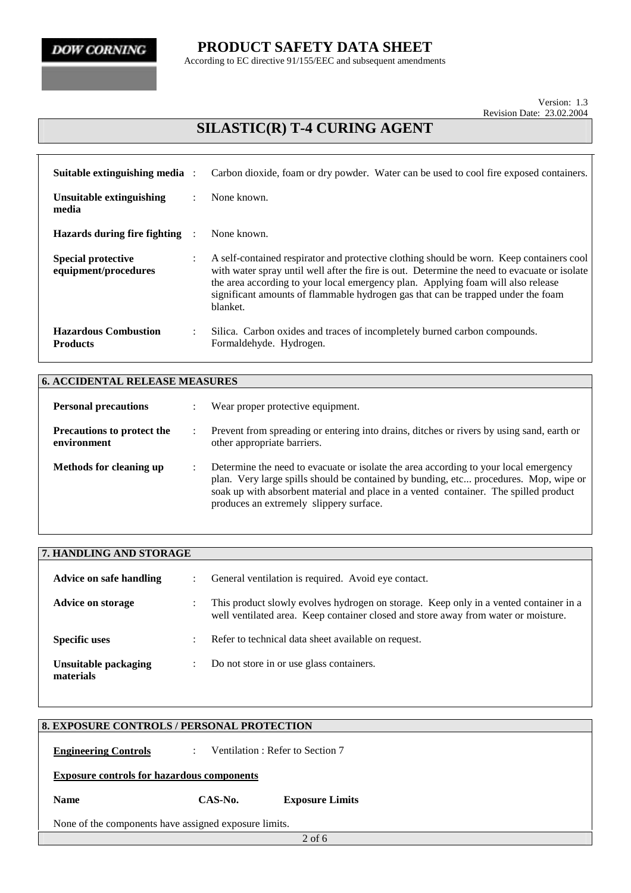**PRODUCT SAFETY DATA SHEET**

According to EC directive 91/155/EEC and subsequent amendments

Version: 1.3 Revision Date: 23.02.2004

# **SILASTIC(R) T-4 CURING AGENT**

| Suitable extinguishing media :                    |                | Carbon dioxide, foam or dry powder. Water can be used to cool fire exposed containers.                                                                                                                                                                                                                                                                                       |
|---------------------------------------------------|----------------|------------------------------------------------------------------------------------------------------------------------------------------------------------------------------------------------------------------------------------------------------------------------------------------------------------------------------------------------------------------------------|
| Unsuitable extinguishing<br>media                 | $\ddot{\cdot}$ | None known.                                                                                                                                                                                                                                                                                                                                                                  |
| Hazards during fire fighting                      |                | None known.                                                                                                                                                                                                                                                                                                                                                                  |
| <b>Special protective</b><br>equipment/procedures | $\ddot{\cdot}$ | A self-contained respirator and protective clothing should be worn. Keep containers cool<br>with water spray until well after the fire is out. Determine the need to evacuate or isolate<br>the area according to your local emergency plan. Applying foam will also release<br>significant amounts of flammable hydrogen gas that can be trapped under the foam<br>blanket. |
| <b>Hazardous Combustion</b><br><b>Products</b>    | $\bullet$      | Silica. Carbon oxides and traces of incompletely burned carbon compounds.<br>Formaldehyde. Hydrogen.                                                                                                                                                                                                                                                                         |

| <b>6. ACCIDENTAL RELEASE MEASURES</b>            |                      |                                                                                                                                                                                                                                                                                                                 |  |
|--------------------------------------------------|----------------------|-----------------------------------------------------------------------------------------------------------------------------------------------------------------------------------------------------------------------------------------------------------------------------------------------------------------|--|
| <b>Personal precautions</b>                      |                      | Wear proper protective equipment.                                                                                                                                                                                                                                                                               |  |
| <b>Precautions to protect the</b><br>environment | $\ddot{\phantom{0}}$ | Prevent from spreading or entering into drains, ditches or rivers by using sand, earth or<br>other appropriate barriers.                                                                                                                                                                                        |  |
| Methods for cleaning up                          |                      | Determine the need to evacuate or isolate the area according to your local emergency<br>plan. Very large spills should be contained by bunding, etc procedures. Mop, wipe or<br>soak up with absorbent material and place in a vented container. The spilled product<br>produces an extremely slippery surface. |  |

| 7. HANDLING AND STORAGE           |                      |                                                                                                                                                                             |
|-----------------------------------|----------------------|-----------------------------------------------------------------------------------------------------------------------------------------------------------------------------|
| Advice on safe handling           | $\ddot{\phantom{0}}$ | General ventilation is required. Avoid eye contact.                                                                                                                         |
| <b>Advice on storage</b>          |                      | This product slowly evolves hydrogen on storage. Keep only in a vented container in a<br>well ventilated area. Keep container closed and store away from water or moisture. |
| <b>Specific uses</b>              | $\bullet$            | Refer to technical data sheet available on request.                                                                                                                         |
| Unsuitable packaging<br>materials | ٠                    | Do not store in or use glass containers.                                                                                                                                    |

| None of the components have assigned exposure limits. |  |  |  |  |
|-------------------------------------------------------|--|--|--|--|
|                                                       |  |  |  |  |
|                                                       |  |  |  |  |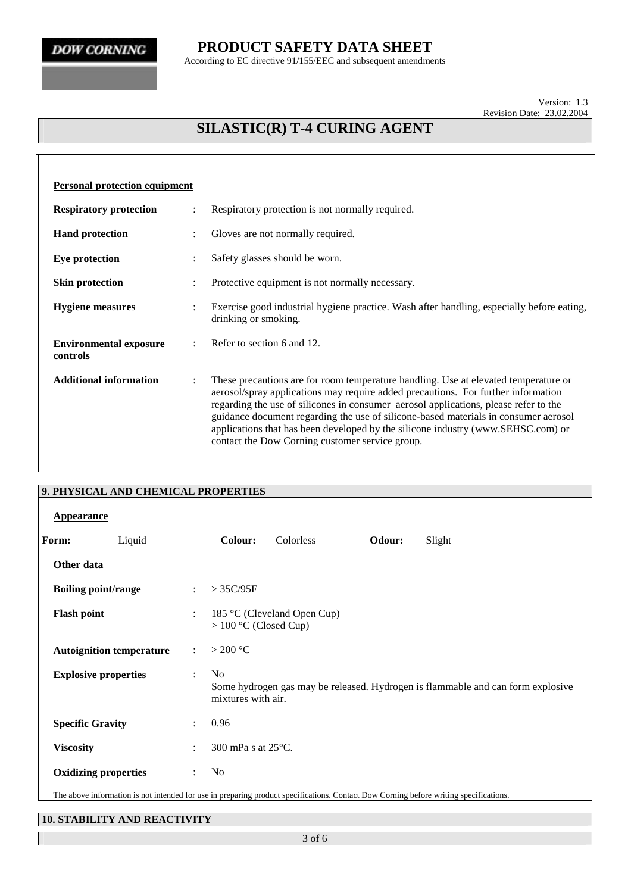### **PRODUCT SAFETY DATA SHEET**

According to EC directive 91/155/EEC and subsequent amendments

Version: 1.3 Revision Date: 23.02.2004

# **SILASTIC(R) T-4 CURING AGENT**

| <b>Personal protection equipment</b>      |                      |                                                                                                                                                                                                                                                                                                                                                                                                                                                                                                |
|-------------------------------------------|----------------------|------------------------------------------------------------------------------------------------------------------------------------------------------------------------------------------------------------------------------------------------------------------------------------------------------------------------------------------------------------------------------------------------------------------------------------------------------------------------------------------------|
| <b>Respiratory protection</b>             | $\ddot{\cdot}$       | Respiratory protection is not normally required.                                                                                                                                                                                                                                                                                                                                                                                                                                               |
| <b>Hand protection</b>                    |                      | Gloves are not normally required.                                                                                                                                                                                                                                                                                                                                                                                                                                                              |
| Eye protection                            |                      | Safety glasses should be worn.                                                                                                                                                                                                                                                                                                                                                                                                                                                                 |
| <b>Skin protection</b>                    |                      | Protective equipment is not normally necessary.                                                                                                                                                                                                                                                                                                                                                                                                                                                |
| <b>Hygiene</b> measures                   | $\ddot{\cdot}$       | Exercise good industrial hygiene practice. Wash after handling, especially before eating,<br>drinking or smoking.                                                                                                                                                                                                                                                                                                                                                                              |
| <b>Environmental exposure</b><br>controls |                      | Refer to section 6 and 12.                                                                                                                                                                                                                                                                                                                                                                                                                                                                     |
| <b>Additional information</b>             | $\ddot{\phantom{a}}$ | These precautions are for room temperature handling. Use at elevated temperature or<br>aerosol/spray applications may require added precautions. For further information<br>regarding the use of silicones in consumer aerosol applications, please refer to the<br>guidance document regarding the use of silicone-based materials in consumer aerosol<br>applications that has been developed by the silicone industry (www.SEHSC.com) or<br>contact the Dow Corning customer service group. |

|                    | 9. PHYSICAL AND CHEMICAL PROPERTIES                                                                                                   |                           |                                      |                             |        |                                                                                 |
|--------------------|---------------------------------------------------------------------------------------------------------------------------------------|---------------------------|--------------------------------------|-----------------------------|--------|---------------------------------------------------------------------------------|
| <b>Appearance</b>  |                                                                                                                                       |                           |                                      |                             |        |                                                                                 |
| Form:              | Liquid                                                                                                                                |                           | Colour:                              | Colorless                   | Odour: | Slight                                                                          |
| Other data         |                                                                                                                                       |                           |                                      |                             |        |                                                                                 |
|                    | <b>Boiling point/range</b>                                                                                                            | $\ddot{\phantom{a}}$      | $>$ 35C/95F                          |                             |        |                                                                                 |
| <b>Flash point</b> |                                                                                                                                       | $\ddot{\cdot}$            | $> 100$ °C (Closed Cup)              | 185 °C (Cleveland Open Cup) |        |                                                                                 |
|                    | <b>Autoignition temperature</b>                                                                                                       | $\mathbb{R}^{\mathbb{Z}}$ | $>$ 200 °C                           |                             |        |                                                                                 |
|                    | <b>Explosive properties</b>                                                                                                           | $\ddot{\phantom{a}}$      | N <sub>0</sub><br>mixtures with air. |                             |        | Some hydrogen gas may be released. Hydrogen is flammable and can form explosive |
|                    | <b>Specific Gravity</b>                                                                                                               | $\ddot{\phantom{0}}$      | 0.96                                 |                             |        |                                                                                 |
| <b>Viscosity</b>   |                                                                                                                                       |                           | 300 mPa s at 25°C.                   |                             |        |                                                                                 |
|                    | <b>Oxidizing properties</b>                                                                                                           | $\ddot{\cdot}$            | N <sub>0</sub>                       |                             |        |                                                                                 |
|                    | The above information is not intended for use in preparing product specifications. Contact Dow Corning before writing specifications. |                           |                                      |                             |        |                                                                                 |

#### **10. STABILITY AND REACTIVITY**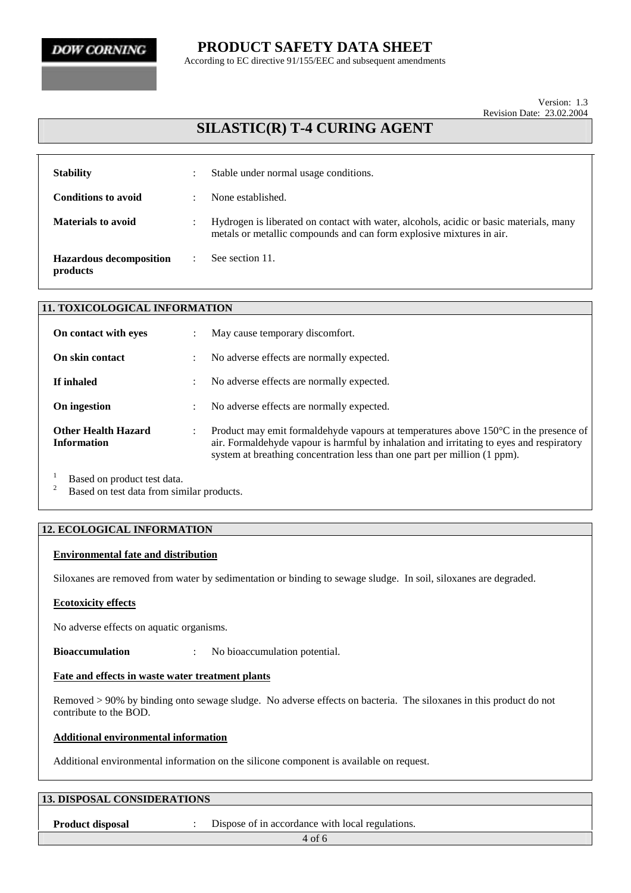### **PRODUCT SAFETY DATA SHEET**

According to EC directive 91/155/EEC and subsequent amendments

Version: 1.3 Revision Date: 23.02.2004

## **SILASTIC(R) T-4 CURING AGENT**

| <b>Stability</b>                           | $\bullet$ | Stable under normal usage conditions.                                                                                                                          |
|--------------------------------------------|-----------|----------------------------------------------------------------------------------------------------------------------------------------------------------------|
| <b>Conditions to avoid</b>                 | $\bullet$ | None established.                                                                                                                                              |
| <b>Materials to avoid</b>                  | $\bullet$ | Hydrogen is liberated on contact with water, alcohols, acidic or basic materials, many<br>metals or metallic compounds and can form explosive mixtures in air. |
| <b>Hazardous decomposition</b><br>products |           | See section 11.                                                                                                                                                |

| <b>11. TOXICOLOGICAL INFORMATION</b>             |                      |                                                                                                                                                                                                                                                                          |  |  |
|--------------------------------------------------|----------------------|--------------------------------------------------------------------------------------------------------------------------------------------------------------------------------------------------------------------------------------------------------------------------|--|--|
| On contact with eyes                             |                      | May cause temporary discomfort.                                                                                                                                                                                                                                          |  |  |
| On skin contact                                  |                      | No adverse effects are normally expected.                                                                                                                                                                                                                                |  |  |
| If inhaled                                       | $\ddot{\phantom{0}}$ | No adverse effects are normally expected.                                                                                                                                                                                                                                |  |  |
| On ingestion                                     |                      | No adverse effects are normally expected.                                                                                                                                                                                                                                |  |  |
| <b>Other Health Hazard</b><br><b>Information</b> |                      | Product may emit formal dehyde vapours at temperatures above $150^{\circ}$ C in the presence of<br>air. Formaldehyde vapour is harmful by inhalation and irritating to eyes and respiratory<br>system at breathing concentration less than one part per million (1 ppm). |  |  |
|                                                  |                      |                                                                                                                                                                                                                                                                          |  |  |

<sup>1</sup> Based on product test data.<br><sup>2</sup> Based on test data from similar products.

#### **12. ECOLOGICAL INFORMATION**

#### **Environmental fate and distribution**

Siloxanes are removed from water by sedimentation or binding to sewage sludge. In soil, siloxanes are degraded.

#### **Ecotoxicity effects**

No adverse effects on aquatic organisms.

**Bioaccumulation** : No bioaccumulation potential.

#### **Fate and effects in waste water treatment plants**

Removed > 90% by binding onto sewage sludge. No adverse effects on bacteria. The siloxanes in this product do not contribute to the BOD.

#### **Additional environmental information**

Additional environmental information on the silicone component is available on request.

| <b>13. DISPOSAL CONSIDERATIONS</b> |  |                                                  |  |  |
|------------------------------------|--|--------------------------------------------------|--|--|
| <b>Product disposal</b>            |  | Dispose of in accordance with local regulations. |  |  |
|                                    |  | $4$ of 6                                         |  |  |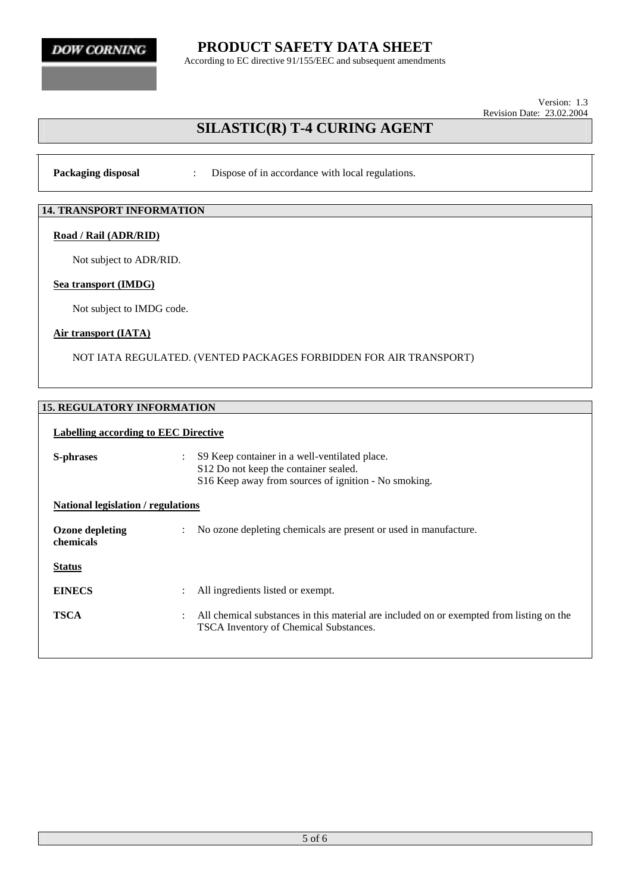**PRODUCT SAFETY DATA SHEET**

According to EC directive 91/155/EEC and subsequent amendments

Version: 1.3 Revision Date: 23.02.2004

## **SILASTIC(R) T-4 CURING AGENT**

**Packaging disposal :** Dispose of in accordance with local regulations.

#### **14. TRANSPORT INFORMATION**

#### **Road / Rail (ADR/RID)**

Not subject to ADR/RID.

#### **Sea transport (IMDG)**

Not subject to IMDG code.

#### **Air transport (IATA)**

NOT IATA REGULATED. (VENTED PACKAGES FORBIDDEN FOR AIR TRANSPORT)

#### **15. REGULATORY INFORMATION**

#### **Labelling according to EEC Directive**

| S-phrases                           | $\ddot{\phantom{0}}$ | S9 Keep container in a well-ventilated place.<br>S12 Do not keep the container sealed.<br>S16 Keep away from sources of ignition - No smoking. |  |
|-------------------------------------|----------------------|------------------------------------------------------------------------------------------------------------------------------------------------|--|
| National legislation / regulations  |                      |                                                                                                                                                |  |
| <b>Ozone depleting</b><br>chemicals |                      | No ozone depleting chemicals are present or used in manufacture.                                                                               |  |
| <b>Status</b>                       |                      |                                                                                                                                                |  |
| <b>EINECS</b>                       | ÷                    | All ingredients listed or exempt.                                                                                                              |  |
| <b>TSCA</b>                         |                      | All chemical substances in this material are included on or exempted from listing on the<br><b>TSCA Inventory of Chemical Substances.</b>      |  |